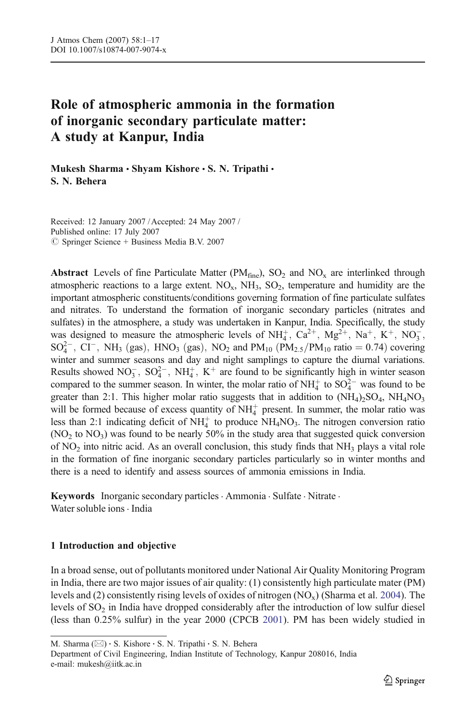# Role of atmospheric ammonia in the formation of inorganic secondary particulate matter: A study at Kanpur, India

Mukesh Sharma · Shyam Kishore · S. N. Tripathi · S. N. Behera

Received: 12 January 2007 / Accepted: 24 May 2007 / Published online: 17 July 2007  $\circledcirc$  Springer Science + Business Media B.V. 2007

Abstract Levels of fine Particulate Matter (PM $_{\text{fine}}$ ), SO<sub>2</sub> and NO<sub>x</sub> are interlinked through atmospheric reactions to a large extent.  $NO_x$ ,  $NH_3$ ,  $SO_2$ , temperature and humidity are the important atmospheric constituents/conditions governing formation of fine particulate sulfates and nitrates. To understand the formation of inorganic secondary particles (nitrates and sulfates) in the atmosphere, a study was undertaken in Kanpur, India. Specifically, the study was designed to measure the atmospheric levels of  $NH_4^+$ ,  $Ca^{2+}$ ,  $Mg^{2+}$ ,  $Na^+$ ,  $K^+$ ,  $NO_3^-$ ,  $SO_4^{2-}$ ,  $CI^-$ , NH<sub>3</sub> (gas), HNO<sub>3</sub> (gas), NO<sub>2</sub> and PM<sub>10</sub> (PM<sub>2.5</sub>/PM<sub>10</sub> ratio = 0.74) covering winter and summer seasons and day and night samplings to capture the diurnal variations. Results showed  $NO_3^-$ ,  $SO_4^{2-}$ ,  $NH_4^+$ ,  $K^+$  are found to be significantly high in winter season compared to the summer season. In winter, the molar ratio of  $NH_4^+$  to  $SO_4^{2-}$  was found to be greater than 2:1. This higher molar ratio suggests that in addition to  $(NH_4)_2SO_4$ ,  $NH_4NO_3$ will be formed because of excess quantity of  $NH<sub>4</sub><sup>+</sup>$  present. In summer, the molar ratio was less than 2:1 indicating deficit of  $NH<sub>4</sub>$  to produce  $NH<sub>4</sub>NO<sub>3</sub>$ . The nitrogen conversion ratio  $(NO<sub>2</sub> to NO<sub>3</sub>)$  was found to be nearly 50% in the study area that suggested quick conversion of  $NO<sub>2</sub>$  into nitric acid. As an overall conclusion, this study finds that  $NH<sub>3</sub>$  plays a vital role in the formation of fine inorganic secondary particles particularly so in winter months and there is a need to identify and assess sources of ammonia emissions in India.

Keywords Inorganic secondary particles · Ammonia · Sulfate · Nitrate · Water soluble ions . India

# 1 Introduction and objective

In a broad sense, out of pollutants monitored under National Air Quality Monitoring Program in India, there are two major issues of air quality: (1) consistently high particulate mater (PM) levels and (2) consistently rising levels of oxides of nitrogen  $(NO<sub>x</sub>)$  (Sharma et al. [2004](#page-16-0)). The levels of  $SO<sub>2</sub>$  in India have dropped considerably after the introduction of low sulfur diesel (less than 0.25% sulfur) in the year 2000 (CPCB [2001\)](#page-15-0). PM has been widely studied in

Department of Civil Engineering, Indian Institute of Technology, Kanpur 208016, India e-mail: mukesh@iitk.ac.in

M. Sharma  $(\boxtimes)$  · S. Kishore · S. N. Tripathi · S. N. Behera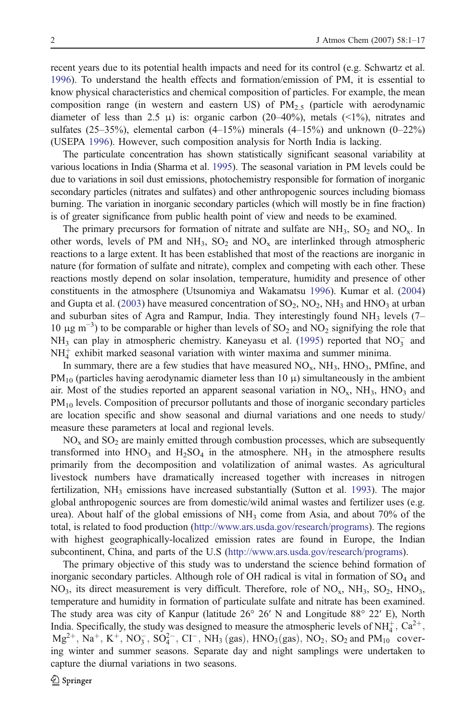recent years due to its potential health impacts and need for its control (e.g. Schwartz et al. [1996\)](#page-16-0). To understand the health effects and formation/emission of PM, it is essential to know physical characteristics and chemical composition of particles. For example, the mean composition range (in western and eastern US) of  $PM_{2.5}$  (particle with aerodynamic diameter of less than 2.5 μ) is: organic carbon (20–40%), metals (<1%), nitrates and sulfates  $(25-35%)$ , elemental carbon  $(4-15%)$  minerals  $(4-15%)$  and unknown  $(0-22%)$ (USEPA [1996\)](#page-16-0). However, such composition analysis for North India is lacking.

The particulate concentration has shown statistically significant seasonal variability at various locations in India (Sharma et al. [1995](#page-16-0)). The seasonal variation in PM levels could be due to variations in soil dust emissions, photochemistry responsible for formation of inorganic secondary particles (nitrates and sulfates) and other anthropogenic sources including biomass burning. The variation in inorganic secondary particles (which will mostly be in fine fraction) is of greater significance from public health point of view and needs to be examined.

The primary precursors for formation of nitrate and sulfate are  $NH_3$ ,  $SO_2$  and  $NO_x$ . In other words, levels of PM and NH<sub>3</sub>,  $SO_2$  and NO<sub>x</sub> are interlinked through atmospheric reactions to a large extent. It has been established that most of the reactions are inorganic in nature (for formation of sulfate and nitrate), complex and competing with each other. These reactions mostly depend on solar insolation, temperature, humidity and presence of other constituents in the atmosphere (Utsunomiya and Wakamatsu [1996](#page-16-0)). Kumar et al. ([2004\)](#page-16-0) and Gupta et al. ([2003\)](#page-15-0) have measured concentration of  $SO_2$ ,  $NO_2$ ,  $NH_3$  and  $HNO_3$  at urban and suburban sites of Agra and Rampur, India. They interestingly found  $NH<sub>3</sub>$  levels (7– 10 μg m<sup>-3</sup>) to be comparable or higher than levels of SO<sub>2</sub> and NO<sub>2</sub> signifying the role that  $NH<sub>3</sub>$  can play in atmospheric chemistry. Kaneyasu et al. ([1995\)](#page-15-0) reported that  $NO<sub>3</sub>$  and  $NH<sub>4</sub><sup>+</sup>$  exhibit marked seasonal variation with winter maxima and summer minima.

In summary, there are a few studies that have measured  $NO<sub>x</sub>$ ,  $NH<sub>3</sub>$ ,  $HNO<sub>3</sub>$ ,  $PM$ fine, and  $PM_{10}$  (particles having aerodynamic diameter less than 10  $\mu$ ) simultaneously in the ambient air. Most of the studies reported an apparent seasonal variation in  $NO_x$ ,  $NH_3$ ,  $HNO_3$  and PM<sub>10</sub> levels. Composition of precursor pollutants and those of inorganic secondary particles are location specific and show seasonal and diurnal variations and one needs to study/ measure these parameters at local and regional levels.

 $NO<sub>x</sub>$  and  $SO<sub>2</sub>$  are mainly emitted through combustion processes, which are subsequently transformed into  $HNO<sub>3</sub>$  and  $H<sub>2</sub>SO<sub>4</sub>$  in the atmosphere. NH<sub>3</sub> in the atmosphere results primarily from the decomposition and volatilization of animal wastes. As agricultural livestock numbers have dramatically increased together with increases in nitrogen fertilization,  $NH_3$  emissions have increased substantially (Sutton et al. [1993](#page-16-0)). The major global anthropogenic sources are from domestic/wild animal wastes and fertilizer uses (e.g. urea). About half of the global emissions of  $NH<sub>3</sub>$  come from Asia, and about 70% of the total, is related to food production [\(http://www.ars.usda.gov/research/programs](http://www.ars.usda.gov/research/programs)). The regions with highest geographically-localized emission rates are found in Europe, the Indian subcontinent, China, and parts of the U.S ([http://www.ars.usda.gov/research/programs\)](http://www.ars.usda.gov/research/programs).

The primary objective of this study was to understand the science behind formation of inorganic secondary particles. Although role of OH radical is vital in formation of  $SO<sub>4</sub>$  and  $NO<sub>3</sub>$ , its direct measurement is very difficult. Therefore, role of  $NO<sub>x</sub>$ ,  $NH<sub>3</sub>$ ,  $SO<sub>2</sub>$ ,  $HNO<sub>3</sub>$ , temperature and humidity in formation of particulate sulfate and nitrate has been examined. The study area was city of Kanpur (latitude 26° 26′ N and Longitude 88° 22′ E), North India. Specifically, the study was designed to measure the atmospheric levels of NH $_4^+$ , Ca<sup>2+</sup>,  $Mg^{2+}$ , Na<sup>+</sup>, K<sup>+</sup>, NO<sub>3</sub>, SO<sub>4</sub><sup>-</sup>, CI<sup>-</sup>, NH<sub>3</sub> (gas), HNO<sub>3</sub>(gas), NO<sub>2</sub>, SO<sub>2</sub> and PM<sub>10</sub> covering winter and summer seasons. Separate day and night samplings were undertaken to capture the diurnal variations in two seasons.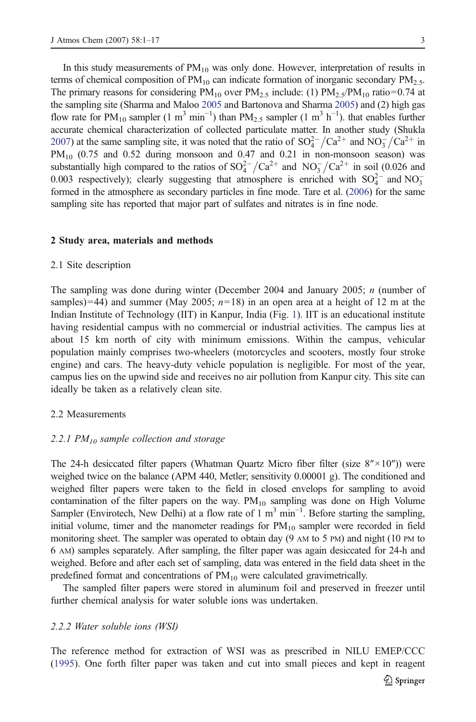In this study measurements of  $PM_{10}$  was only done. However, interpretation of results in terms of chemical composition of  $PM_{10}$  can indicate formation of inorganic secondary  $PM_{2.5}$ . The primary reasons for considering  $PM_{10}$  over  $PM_{2.5}$  include: (1)  $PM_{2.5}/PM_{10}$  ratio=0.74 at the sampling site (Sharma and Maloo [2005](#page-16-0) and Bartonova and Sharma [2005\)](#page-15-0) and (2) high gas flow rate for PM<sub>10</sub> sampler (1 m<sup>3</sup> min<sup>-1</sup>) than PM<sub>2.5</sub> sampler (1 m<sup>3</sup> h<sup>-1</sup>). that enables further accurate chemical characterization of collected particulate matter. In another study (Shukla [2007](#page-16-0)) at the same sampling site, it was noted that the ratio of  $SO_4^{2-}/Ca^{2+}$  and  $NO_3^{-}/Ca^{2+}$  in  $PM_{10}$  (0.75 and 0.52 during monsoon and 0.47 and 0.21 in non-monsoon season) was substantially high compared to the ratios of  $SO_4^{2-}/Ca^{2+}$  and  $NO_3^{-}/Ca^{2+}$  in soil (0.026 and 0.003 respectively); clearly suggesting that atmosphere is enriched with  $SO_4^{2-}$  and  $NO_3^$ formed in the atmosphere as secondary particles in fine mode. Tare et al. [\(2006\)](#page-16-0) for the same sampling site has reported that major part of sulfates and nitrates is in fine node.

#### 2 Study area, materials and methods

#### 2.1 Site description

The sampling was done during winter (December 2004 and January 2005; n (number of samples)=44) and summer (May 2005;  $n=18$ ) in an open area at a height of 12 m at the Indian Institute of Technology (IIT) in Kanpur, India (Fig. [1](#page-3-0)). IIT is an educational institute having residential campus with no commercial or industrial activities. The campus lies at about 15 km north of city with minimum emissions. Within the campus, vehicular population mainly comprises two-wheelers (motorcycles and scooters, mostly four stroke engine) and cars. The heavy-duty vehicle population is negligible. For most of the year, campus lies on the upwind side and receives no air pollution from Kanpur city. This site can ideally be taken as a relatively clean site.

#### 2.2 Measurements

# 2.2.1  $PM_{10}$  sample collection and storage

The 24-h desiccated filter papers (Whatman Quartz Micro fiber filter (size  $8'' \times 10''$ )) were weighed twice on the balance (APM 440, Metler; sensitivity 0.00001 g). The conditioned and weighed filter papers were taken to the field in closed envelops for sampling to avoid contamination of the filter papers on the way.  $PM_{10}$  sampling was done on High Volume Sampler (Envirotech, New Delhi) at a flow rate of  $1 \text{ m}^3 \text{ min}^{-1}$ . Before starting the sampling, initial volume, timer and the manometer readings for  $PM_{10}$  sampler were recorded in field monitoring sheet. The sampler was operated to obtain day (9 AM to 5 PM) and night (10 PM to 6 AM) samples separately. After sampling, the filter paper was again desiccated for 24-h and weighed. Before and after each set of sampling, data was entered in the field data sheet in the predefined format and concentrations of  $PM_{10}$  were calculated gravimetrically.

The sampled filter papers were stored in aluminum foil and preserved in freezer until further chemical analysis for water soluble ions was undertaken.

#### 2.2.2 Water soluble ions (WSI)

The reference method for extraction of WSI was as prescribed in NILU EMEP/CCC ([1995\)](#page-16-0). One forth filter paper was taken and cut into small pieces and kept in reagent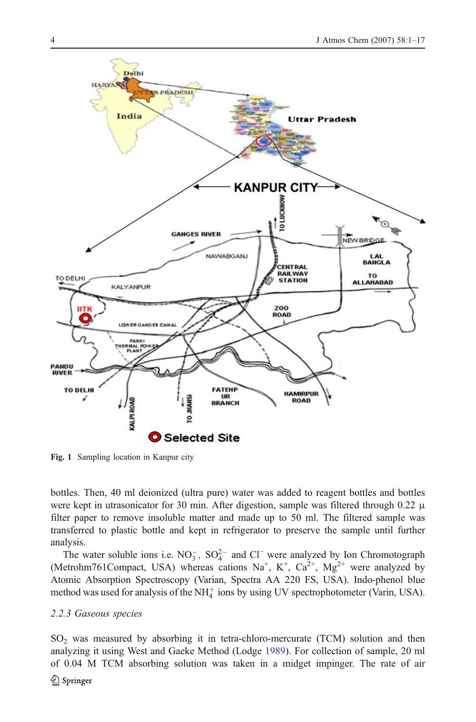<span id="page-3-0"></span>

Fig. 1 Sampling location in Kanpur city

bottles. Then, 40 ml deionized (ultra pure) water was added to reagent bottles and bottles were kept in utrasonicator for 30 min. After digestion, sample was filtered through 0.22  $\mu$ filter paper to remove insoluble matter and made up to 50 ml. The filtered sample was transferred to plastic bottle and kept in refrigerator to preserve the sample until further analysis.

The water soluble ions i.e.  $NO_3^-$ ,  $SO_4^{2-}$  and  $Cl^-$  were analyzed by Ion Chromotograph (Metrohm761Compact, USA) whereas cations Na<sup>+</sup>, K<sup>+</sup>, Ca<sup>2+</sup>, Mg<sup>2+</sup> were analyzed by Atomic Absorption Spectroscopy (Varian, Spectra AA 220 FS, USA). Indo-phenol blue method was used for analysis of the  $NH_4^+$  ions by using UV spectrophotometer (Varin, USA).

# 2.2.3 Gaseous species

 $SO<sub>2</sub>$  was measured by absorbing it in tetra-chloro-mercurate (TCM) solution and then analyzing it using West and Gaeke Method (Lodge [1989\)](#page-16-0). For collection of sample, 20 ml of 0.04 M TCM absorbing solution was taken in a midget impinger. The rate of air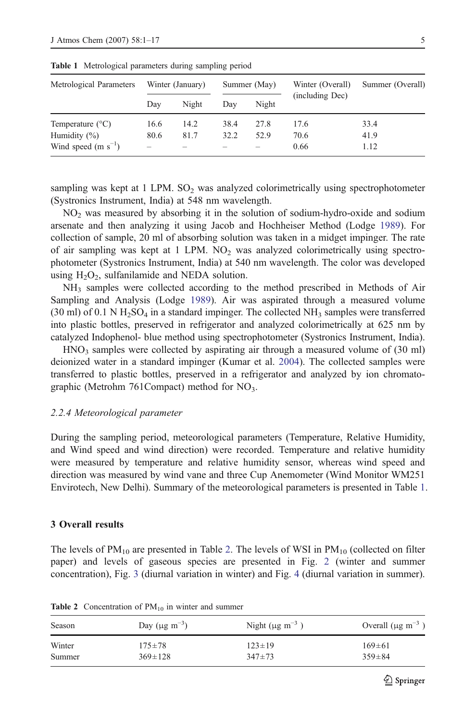| Metrological Parameters                                              |                                          | Winter (January)<br>Summer (May) |              | Winter (Overall) | Summer (Overall)     |                      |
|----------------------------------------------------------------------|------------------------------------------|----------------------------------|--------------|------------------|----------------------|----------------------|
|                                                                      | Dav                                      | Night                            | Dav          | Night            | (including Dec)      |                      |
| Temperature $(^{\circ}C)$<br>Humidity (%)<br>Wind speed $(m s^{-1})$ | 16.6<br>80.6<br>$\overline{\phantom{a}}$ | 14.2<br>81.7                     | 38.4<br>32.2 | 27.8<br>52.9     | 17.6<br>70.6<br>0.66 | 33.4<br>41.9<br>1.12 |

<span id="page-4-0"></span>Table 1 Metrological parameters during sampling period

sampling was kept at  $1$  LPM.  $SO<sub>2</sub>$  was analyzed colorimetrically using spectrophotometer (Systronics Instrument, India) at 548 nm wavelength.

 $NO<sub>2</sub>$  was measured by absorbing it in the solution of sodium-hydro-oxide and sodium arsenate and then analyzing it using Jacob and Hochheiser Method (Lodge [1989\)](#page-16-0). For collection of sample, 20 ml of absorbing solution was taken in a midget impinger. The rate of air sampling was kept at  $1$  LPM. NO<sub>2</sub> was analyzed colorimetrically using spectrophotometer (Systronics Instrument, India) at 540 nm wavelength. The color was developed using  $H_2O_2$ , sulfanilamide and NEDA solution.

NH3 samples were collected according to the method prescribed in Methods of Air Sampling and Analysis (Lodge [1989\)](#page-16-0). Air was aspirated through a measured volume (30 ml) of 0.1 N  $H_2SO_4$  in a standard impinger. The collected NH<sub>3</sub> samples were transferred into plastic bottles, preserved in refrigerator and analyzed colorimetrically at 625 nm by catalyzed Indophenol- blue method using spectrophotometer (Systronics Instrument, India).

HNO<sub>3</sub> samples were collected by aspirating air through a measured volume of (30 ml) deionized water in a standard impinger (Kumar et al. [2004](#page-16-0)). The collected samples were transferred to plastic bottles, preserved in a refrigerator and analyzed by ion chromatographic (Metrohm 761Compact) method for NO<sub>3</sub>.

#### 2.2.4 Meteorological parameter

During the sampling period, meteorological parameters (Temperature, Relative Humidity, and Wind speed and wind direction) were recorded. Temperature and relative humidity were measured by temperature and relative humidity sensor, whereas wind speed and direction was measured by wind vane and three Cup Anemometer (Wind Monitor WM251 Envirotech, New Delhi). Summary of the meteorological parameters is presented in Table 1.

# 3 Overall results

The levels of  $PM_{10}$  are presented in Table 2. The levels of WSI in  $PM_{10}$  (collected on filter paper) and levels of gaseous species are presented in Fig. [2](#page-5-0) (winter and summer concentration), Fig. [3](#page-5-0) (diurnal variation in winter) and Fig. [4](#page-6-0) (diurnal variation in summer).

| Season | Day ( $\mu$ g m <sup>-3</sup> ) | Night ( $\mu$ g m <sup>-3</sup> | Overall $(\mu g \text{ m}^{-3})$ |
|--------|---------------------------------|---------------------------------|----------------------------------|
| Winter | $175 + 78$                      | $123 \pm 19$                    | $169 \pm 61$                     |
| Summer | $369 \pm 128$                   | $347+73$                        | $359 \pm 84$                     |

Table 2 Concentration of  $PM_{10}$  in winter and summer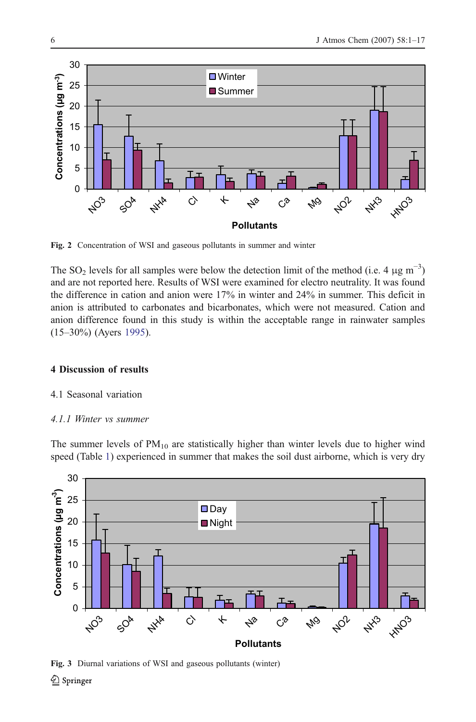<span id="page-5-0"></span>

Fig. 2 Concentration of WSI and gaseous pollutants in summer and winter

The SO<sub>2</sub> levels for all samples were below the detection limit of the method (i.e. 4  $\mu$ g m<sup>-3</sup>) and are not reported here. Results of WSI were examined for electro neutrality. It was found the difference in cation and anion were 17% in winter and 24% in summer. This deficit in anion is attributed to carbonates and bicarbonates, which were not measured. Cation and anion difference found in this study is within the acceptable range in rainwater samples (15–30%) (Ayers [1995](#page-15-0)).

# 4 Discussion of results

- 4.1 Seasonal variation
- 4.1.1 Winter vs summer

The summer levels of  $PM_{10}$  are statistically higher than winter levels due to higher wind speed (Table [1\)](#page-4-0) experienced in summer that makes the soil dust airborne, which is very dry



Fig. 3 Diurnal variations of WSI and gaseous pollutants (winter)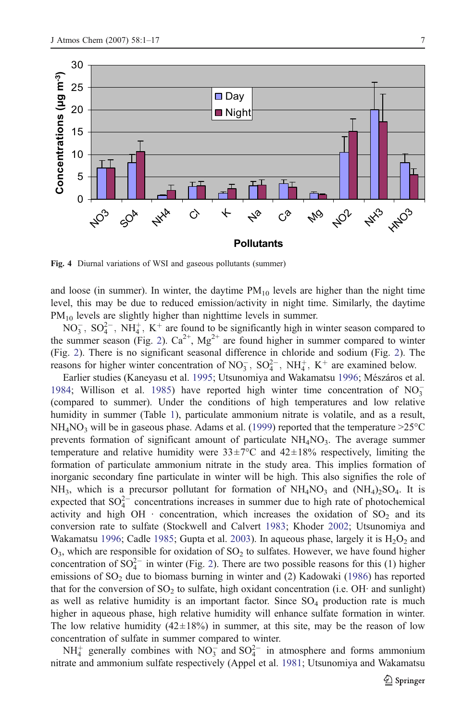<span id="page-6-0"></span>

Fig. 4 Diurnal variations of WSI and gaseous pollutants (summer)

and loose (in summer). In winter, the daytime  $PM_{10}$  levels are higher than the night time level, this may be due to reduced emission/activity in night time. Similarly, the daytime PM<sub>10</sub> levels are slightly higher than nighttime levels in summer.

 $NO_3^-$ ,  $SO_4^{2-}$ ,  $NH_4^+$ ,  $K^+$  are found to be significantly high in winter season compared to the summer season (Fig. [2\)](#page-5-0).  $Ca^{2+}$ ,  $Mg^{2+}$  are found higher in summer compared to winter (Fig. [2\)](#page-5-0). There is no significant seasonal difference in chloride and sodium (Fig. [2](#page-5-0)). The reasons for higher winter concentration of  $NO_3^-$ ,  $SO_4^{2-}$ ,  $NH_4^+$ ,  $K^+$  are examined below.

Earlier studies (Kaneyasu et al. [1995;](#page-15-0) Utsunomiya and Wakamatsu [1996;](#page-16-0) Mészáros et al. [1984;](#page-16-0) Willison et al. [1985](#page-16-0)) have reported high winter time concentration of  $NO_3^-$ (compared to summer). Under the conditions of high temperatures and low relative humidity in summer (Table [1\)](#page-4-0), particulate ammonium nitrate is volatile, and as a result,  $NH<sub>4</sub>NO<sub>3</sub>$  will be in gaseous phase. Adams et al. ([1999](#page-15-0)) reported that the temperature  $>25^{\circ}$ C prevents formation of significant amount of particulate  $NH<sub>4</sub>NO<sub>3</sub>$ . The average summer temperature and relative humidity were  $33\pm7$ °C and  $42\pm18$ % respectively, limiting the formation of particulate ammonium nitrate in the study area. This implies formation of inorganic secondary fine particulate in winter will be high. This also signifies the role of NH<sub>3</sub>, which is a precursor pollutant for formation of  $NH<sub>4</sub>NO<sub>3</sub>$  and  $(NH<sub>4</sub>)<sub>2</sub>SO<sub>4</sub>$ . It is expected that  $SO_4^{2-}$  concentrations increases in summer due to high rate of photochemical activity and high OH  $\cdot$  concentration, which increases the oxidation of  $SO_2$  and its conversion rate to sulfate (Stockwell and Calvert [1983](#page-16-0); Khoder [2002](#page-15-0); Utsunomiya and Wakamatsu [1996;](#page-16-0) Cadle [1985;](#page-15-0) Gupta et al. [2003\)](#page-15-0). In aqueous phase, largely it is  $H_2O_2$  and  $O_3$ , which are responsible for oxidation of  $SO_2$  to sulfates. However, we have found higher concentration of  $SO_4^{2-}$  in winter (Fig. [2\)](#page-5-0). There are two possible reasons for this (1) higher emissions of  $SO<sub>2</sub>$  due to biomass burning in winter and (2) Kadowaki ([1986\)](#page-15-0) has reported that for the conversion of  $SO_2$  to sulfate, high oxidant concentration (i.e. OH· and sunlight) as well as relative humidity is an important factor. Since  $SO_4$  production rate is much higher in aqueous phase, high relative humidity will enhance sulfate formation in winter. The low relative humidity  $(42\pm18%)$  in summer, at this site, may be the reason of low concentration of sulfate in summer compared to winter.

 $NH_4^+$  generally combines with  $NO_3^-$  and  $SO_4^{2-}$  in atmosphere and forms ammonium nitrate and ammonium sulfate respectively (Appel et al. [1981;](#page-15-0) Utsunomiya and Wakamatsu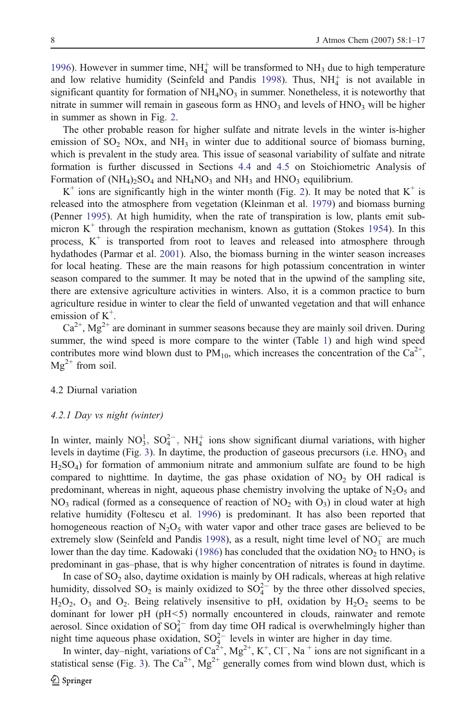[1996\)](#page-16-0). However in summer time,  $NH_4^+$  will be transformed to  $NH_3$  due to high temperature and low relative humidity (Seinfeld and Pandis [1998](#page-16-0)). Thus,  $NH<sub>4</sub><sup>+</sup>$  is not available in significant quantity for formation of  $NH<sub>4</sub>NO<sub>3</sub>$  in summer. Nonetheless, it is noteworthy that nitrate in summer will remain in gaseous form as  $HNO<sub>3</sub>$  and levels of  $HNO<sub>3</sub>$  will be higher in summer as shown in Fig. [2](#page-5-0).

The other probable reason for higher sulfate and nitrate levels in the winter is-higher emission of  $SO_2$  NOx, and NH<sub>3</sub> in winter due to additional source of biomass burning, which is prevalent in the study area. This issue of seasonal variability of sulfate and nitrate formation is further discussed in Sections [4.4](#page-9-0) and [4.5](#page-12-0) on Stoichiometric Analysis of Formation of  $(NH_4)_2SO_4$  and  $NH_4NO_3$  and  $NH_3$  and  $HNO_3$  equilibrium.

 $K^+$  ions are significantly high in the winter month (Fig. [2\)](#page-5-0). It may be noted that  $K^+$  is released into the atmosphere from vegetation (Kleinman et al. [1979\)](#page-15-0) and biomass burning (Penner [1995\)](#page-16-0). At high humidity, when the rate of transpiration is low, plants emit submicron  $K^+$  through the respiration mechanism, known as guttation (Stokes [1954\)](#page-16-0). In this process,  $K^+$  is transported from root to leaves and released into atmosphere through hydathodes (Parmar et al. [2001](#page-16-0)). Also, the biomass burning in the winter season increases for local heating. These are the main reasons for high potassium concentration in winter season compared to the summer. It may be noted that in the upwind of the sampling site, there are extensive agriculture activities in winters. Also, it is a common practice to burn agriculture residue in winter to clear the field of unwanted vegetation and that will enhance emission of  $K^+$ .

 $Ca^{2+}$ ,  $Mg^{2+}$  are dominant in summer seasons because they are mainly soil driven. During summer, the wind speed is more compare to the winter (Table [1](#page-4-0)) and high wind speed contributes more wind blown dust to  $PM_{10}$ , which increases the concentration of the Ca<sup>2+</sup>,  $Mg^{2+}$  from soil.

### 4.2 Diurnal variation

#### 4.2.1 Day vs night (winter)

In winter, mainly  $NO_3^1$ ,  $SO_4^{2-}$ ,  $NH_4^+$  ions show significant diurnal variations, with higher levels in daytime (Fig. [3](#page-5-0)). In daytime, the production of gaseous precursors (i.e.  $HNO<sub>3</sub>$  and H2SO4) for formation of ammonium nitrate and ammonium sulfate are found to be high compared to nighttime. In daytime, the gas phase oxidation of  $NO<sub>2</sub>$  by OH radical is predominant, whereas in night, aqueous phase chemistry involving the uptake of  $N_2O_5$  and  $NO<sub>3</sub>$  radical (formed as a consequence of reaction of  $NO<sub>2</sub>$  with  $O<sub>3</sub>$ ) in cloud water at high relative humidity (Foltescu et al. [1996\)](#page-15-0) is predominant. It has also been reported that homogeneous reaction of  $N_2O_5$  with water vapor and other trace gases are believed to be extremely slow (Seinfeld and Pandis [1998](#page-16-0)), as a result, night time level of  $NO_3^-$  are much lower than the day time. Kadowaki ([1986](#page-15-0)) has concluded that the oxidation  $NO<sub>2</sub>$  to  $HNO<sub>3</sub>$  is predominant in gas–phase, that is why higher concentration of nitrates is found in daytime.

In case of  $SO<sub>2</sub>$  also, daytime oxidation is mainly by OH radicals, whereas at high relative humidity, dissolved  $SO_2$  is mainly oxidized to  $SO_4^{2-}$  by the three other dissolved species,  $H_2O_2$ ,  $O_3$  and  $O_2$ . Being relatively insensitive to pH, oxidation by  $H_2O_2$  seems to be dominant for lower pH (pH<5) normally encountered in clouds, rainwater and remote aerosol. Since oxidation of  $SO_4^{2-}$  from day time OH radical is overwhelmingly higher than night time aqueous phase oxidation,  $SO_4^{2-}$  levels in winter are higher in day time.

In winter, day–night, variations of  $Ca^{2+}$ ,  $Mg^{2+}$ , K<sup>+</sup>, Cl<sup>−</sup>, Na<sup>+</sup> ions are not significant in a statistical sense (Fig. [3](#page-5-0)). The  $Ca^{2+}$ , Mg<sup>2+</sup> generally comes from wind blown dust, which is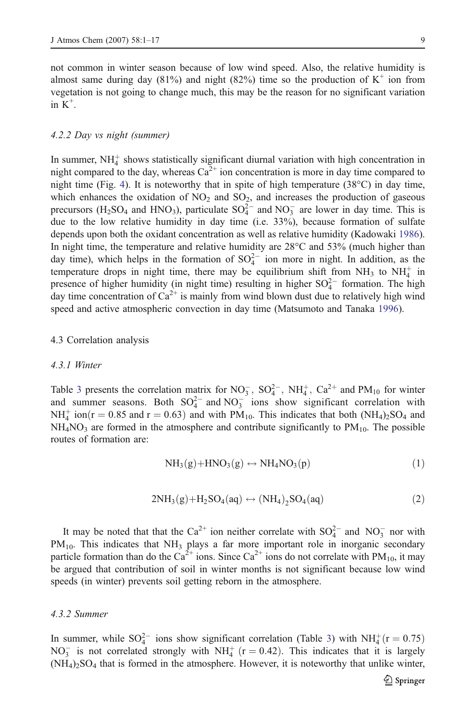<span id="page-8-0"></span>not common in winter season because of low wind speed. Also, the relative humidity is almost same during day (81%) and night (82%) time so the production of  $K^+$  ion from vegetation is not going to change much, this may be the reason for no significant variation in  $K^+$ .

# 4.2.2 Day vs night (summer)

In summer,  $NH<sub>4</sub><sup>+</sup>$  shows statistically significant diurnal variation with high concentration in night compared to the day, whereas  $Ca^{2+}$  ion concentration is more in day time compared to night time (Fig. [4](#page-6-0)). It is noteworthy that in spite of high temperature  $(38^{\circ}C)$  in day time, which enhances the oxidation of  $NO<sub>2</sub>$  and  $SO<sub>2</sub>$ , and increases the production of gaseous precursors ( $H_2SO_4$  and  $HNO_3$ ), particulate  $SO_4^{2-}$  and  $NO_3^-$  are lower in day time. This is due to the low relative humidity in day time (i.e. 33%), because formation of sulfate depends upon both the oxidant concentration as well as relative humidity (Kadowaki [1986](#page-15-0)). In night time, the temperature and relative humidity are 28°C and 53% (much higher than day time), which helps in the formation of  $SO_4^{2-}$  ion more in night. In addition, as the temperature drops in night time, there may be equilibrium shift from  $NH_3$  to  $NH_4^+$  in presence of higher humidity (in night time) resulting in higher  $SO_4^{2-}$  formation. The high day time concentration of  $Ca^{2+}$  is mainly from wind blown dust due to relatively high wind speed and active atmospheric convection in day time (Matsumoto and Tanaka [1996](#page-16-0)).

#### 4.3 Correlation analysis

#### 4.3.1 Winter

Table [3](#page-9-0) presents the correlation matrix for  $NO_3^-$ ,  $SO_4^{2-}$ ,  $NH_4^+$ ,  $Ca^{2+}$  and  $PM_{10}$  for winter and summer seasons. Both  $SO_4^{2-}$  and  $NO_3^-$  ions show significant correlation with  $NH_4^+$  ion  $(r = 0.85$  and  $r = 0.63)$  and with PM<sub>10</sub>. This indicates that both  $(NH_4)_2SO_4$  and  $NH<sub>4</sub>NO<sub>3</sub>$  are formed in the atmosphere and contribute significantly to  $PM<sub>10</sub>$ . The possible routes of formation are:

$$
NH3(g) + HNO3(g) \leftrightarrow NH4NO3(p)
$$
 (1)

$$
2NH3(g) + H2SO4(aq) \leftrightarrow (NH4)2SO4(aq)
$$
 (2)

It may be noted that that the Ca<sup>2+</sup> ion neither correlate with  $SO_4^{2-}$  and  $NO_3^-$  nor with  $PM_{10}$ . This indicates that  $NH_3$  plays a far more important role in inorganic secondary particle formation than do the  $Ca^{2+}$  ions. Since  $Ca^{2+}$  ions do not correlate with PM<sub>10</sub>, it may be argued that contribution of soil in winter months is not significant because low wind speeds (in winter) prevents soil getting reborn in the atmosphere.

# 4.3.2 Summer

In summer, while  $SO_4^{2-}$  ions show significant correlation (Table [3](#page-9-0)) with  $NH_4^+(r = 0.75)$  $NO_3^-$  is not correlated strongly with  $NH_4^+$  (r = 0.42). This indicates that it is largely  $(NH_4)_2SO_4$  that is formed in the atmosphere. However, it is noteworthy that unlike winter,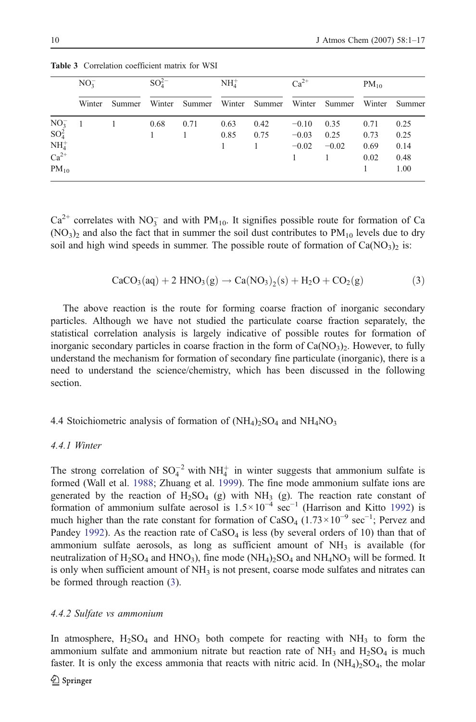|                                                        | NO <sub>2</sub> | $SO_4^{2-}$ |      | NH <sub>4</sub> |                                                  | $Ca^{2+}$ |         | $PM_{10}$ |               |
|--------------------------------------------------------|-----------------|-------------|------|-----------------|--------------------------------------------------|-----------|---------|-----------|---------------|
|                                                        | Winter          |             |      |                 | Summer Winter Summer Winter Summer Winter Summer |           |         |           | Winter Summer |
|                                                        | $\overline{1}$  | 0.68        | 0.71 | 0.63            | 0.42                                             | $-0.10$   | 0.35    | 0.71      | 0.25          |
| $\begin{array}{c} \rm NO_3^-\\ \rm SO_4^2 \end{array}$ |                 |             |      | 0.85            | 0.75                                             | $-0.03$   | 0.25    | 0.73      | 0.25          |
| $NH4+$                                                 |                 |             |      |                 |                                                  | $-0.02$   | $-0.02$ | 0.69      | 0.14          |
| $Ca^{2+}$                                              |                 |             |      |                 |                                                  |           |         | 0.02      | 0.48          |
| $PM_{10}$                                              |                 |             |      |                 |                                                  |           |         |           | 1.00          |

<span id="page-9-0"></span>Table 3 Correlation coefficient matrix for WSI

 $Ca^{2+}$  correlates with NO<sub>3</sub> and with PM<sub>10</sub>. It signifies possible route for formation of Ca  $(NO<sub>3</sub>)<sub>2</sub>$  and also the fact that in summer the soil dust contributes to PM<sub>10</sub> levels due to dry soil and high wind speeds in summer. The possible route of formation of  $Ca(NO<sub>3</sub>)<sub>2</sub>$  is:

$$
CaCO3(aq) + 2 HNO3(g) \rightarrow Ca(NO3)2(s) + H2O + CO2(g)
$$
 (3)

The above reaction is the route for forming coarse fraction of inorganic secondary particles. Although we have not studied the particulate coarse fraction separately, the statistical correlation analysis is largely indicative of possible routes for formation of inorganic secondary particles in coarse fraction in the form of  $Ca(NO<sub>3</sub>)$ . However, to fully understand the mechanism for formation of secondary fine particulate (inorganic), there is a need to understand the science/chemistry, which has been discussed in the following section.

4.4 Stoichiometric analysis of formation of  $(NH_4)_2SO_4$  and  $NH_4NO_3$ 

#### 4.4.1 Winter

The strong correlation of  $SO_4^{-2}$  with NH<sup> $+$ </sup> in winter suggests that ammonium sulfate is formed (Wall et al. [1988;](#page-16-0) Zhuang et al. [1999](#page-16-0)). The fine mode ammonium sulfate ions are generated by the reaction of  $H_2SO_4$  (g) with NH<sub>3</sub> (g). The reaction rate constant of formation of ammonium sulfate aerosol is  $1.5 \times 10^{-4}$  sec<sup>-1</sup> (Harrison and Kitto [1992](#page-15-0)) is much higher than the rate constant for formation of CaSO<sub>4</sub> ( $1.73 \times 10^{-9}$  sec<sup>-1</sup>; Pervez and Pandey [1992\)](#page-16-0). As the reaction rate of  $CaSO<sub>4</sub>$  is less (by several orders of 10) than that of ammonium sulfate aerosols, as long as sufficient amount of  $NH<sub>3</sub>$  is available (for neutralization of  $H_2SO_4$  and  $HNO_3$ ), fine mode  $(NH_4)_2SO_4$  and  $NH_4NO_3$  will be formed. It is only when sufficient amount of NH<sub>3</sub> is not present, coarse mode sulfates and nitrates can be formed through reaction (3).

# 4.4.2 Sulfate vs ammonium

In atmosphere,  $H_2SO_4$  and  $HNO_3$  both compete for reacting with  $NH_3$  to form the ammonium sulfate and ammonium nitrate but reaction rate of  $NH_3$  and  $H_2SO_4$  is much faster. It is only the excess ammonia that reacts with nitric acid. In  $(NH_4)_2SO_4$ , the molar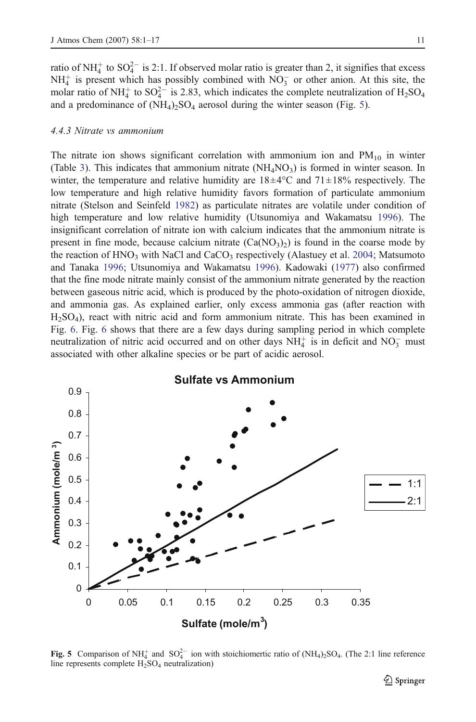ratio of NH<sup> $+$ </sup> to SO<sub>4</sub><sup> $-$ </sup> is 2:1. If observed molar ratio is greater than 2, it signifies that excess  $NH<sub>4</sub><sup>+</sup>$  is present which has possibly combined with  $NO<sub>3</sub><sup>-</sup>$  or other anion. At this site, the molar ratio of NH<sup> $+$ </sup> to SO<sup>2</sup><sup>-</sup> is 2.83, which indicates the complete neutralization of H<sub>2</sub>SO<sub>4</sub> and a predominance of  $(NH_4)_2SO_4$  aerosol during the winter season (Fig. 5).

# 4.4.3 Nitrate vs ammonium

The nitrate ion shows significant correlation with ammonium ion and  $PM_{10}$  in winter (Table [3](#page-9-0)). This indicates that ammonium nitrate  $(NH_4NO_3)$  is formed in winter season. In winter, the temperature and relative humidity are  $18\pm4\degree C$  and  $71\pm18\%$  respectively. The low temperature and high relative humidity favors formation of particulate ammonium nitrate (Stelson and Seinfeld [1982](#page-16-0)) as particulate nitrates are volatile under condition of high temperature and low relative humidity (Utsunomiya and Wakamatsu [1996\)](#page-16-0). The insignificant correlation of nitrate ion with calcium indicates that the ammonium nitrate is present in fine mode, because calcium nitrate  $(Ca(NO<sub>3</sub>)<sub>2</sub>)$  is found in the coarse mode by the reaction of HNO<sub>3</sub> with NaCl and CaCO<sub>3</sub> respectively (Alastuey et al. [2004;](#page-15-0) Matsumoto and Tanaka [1996](#page-16-0); Utsunomiya and Wakamatsu [1996](#page-16-0)). Kadowaki [\(1977](#page-15-0)) also confirmed that the fine mode nitrate mainly consist of the ammonium nitrate generated by the reaction between gaseous nitric acid, which is produced by the photo-oxidation of nitrogen dioxide, and ammonia gas. As explained earlier, only excess ammonia gas (after reaction with H2SO4), react with nitric acid and form ammonium nitrate. This has been examined in Fig. [6.](#page-11-0) Fig. [6](#page-11-0) shows that there are a few days during sampling period in which complete neutralization of nitric acid occurred and on other days  $NH<sub>4</sub><sup>+</sup>$  is in deficit and  $NO<sub>3</sub><sup>-</sup>$  must associated with other alkaline species or be part of acidic aerosol.



Fig. 5 Comparison of NH<sub>4</sub> and SO<sub>4</sub><sup>2</sup> ion with stoichiomertic ratio of (NH<sub>4</sub>)<sub>2</sub>SO<sub>4</sub>. (The 2:1 line reference line represents complete  $H<sub>2</sub>SO<sub>4</sub>$  neutralization)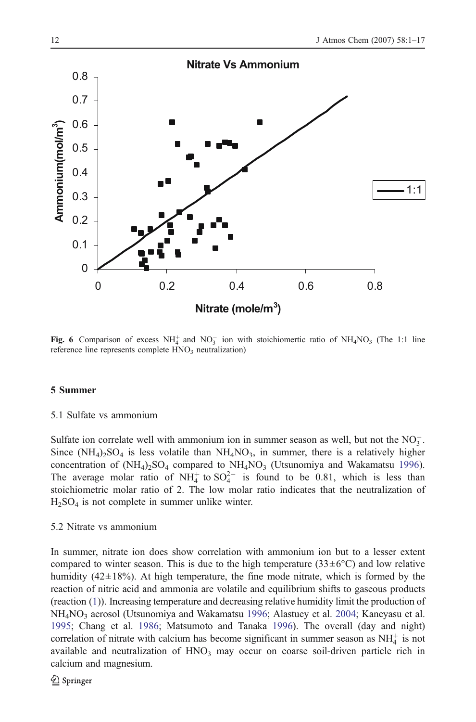<span id="page-11-0"></span>

Fig. 6 Comparison of excess  $NH_4^+$  and  $NO_3^-$  ion with stoichiomertic ratio of  $NH_4NO_3$  (The 1:1 line reference line represents complete HNO<sub>3</sub> neutralization)

#### 5 Summer

# 5.1 Sulfate vs ammonium

Sulfate ion correlate well with ammonium ion in summer season as well, but not the  $NO_3^-$ . Since  $(NH_4)_2SO_4$  is less volatile than  $NH_4NO_3$ , in summer, there is a relatively higher concentration of  $(NH<sub>4</sub>)<sub>2</sub>SO<sub>4</sub>$  compared to  $NH<sub>4</sub>NO<sub>3</sub>$  (Utsunomiya and Wakamatsu [1996](#page-16-0)). The average molar ratio of  $NH_4^+$  to  $SO_4^{2-}$  is found to be 0.81, which is less than stoichiometric molar ratio of 2. The low molar ratio indicates that the neutralization of  $H<sub>2</sub>SO<sub>4</sub>$  is not complete in summer unlike winter.

# 5.2 Nitrate vs ammonium

In summer, nitrate ion does show correlation with ammonium ion but to a lesser extent compared to winter season. This is due to the high temperature  $(33\pm6\degree C)$  and low relative humidity  $(42\pm18%)$ . At high temperature, the fine mode nitrate, which is formed by the reaction of nitric acid and ammonia are volatile and equilibrium shifts to gaseous products (reaction [\(1](#page-8-0))). Increasing temperature and decreasing relative humidity limit the production of NH4NO3 aerosol (Utsunomiya and Wakamatsu [1996;](#page-16-0) Alastuey et al. [2004;](#page-15-0) Kaneyasu et al. [1995;](#page-15-0) Chang et al. [1986;](#page-15-0) Matsumoto and Tanaka [1996](#page-16-0)). The overall (day and night) correlation of nitrate with calcium has become significant in summer season as  $NH<sub>4</sub><sup>+</sup>$  is not available and neutralization of  $HNO<sub>3</sub>$  may occur on coarse soil-driven particle rich in calcium and magnesium.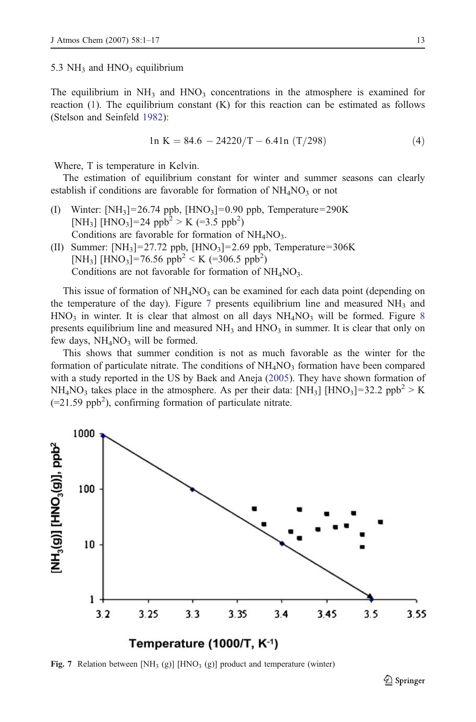<span id="page-12-0"></span>5.3  $NH<sub>3</sub>$  and  $HNO<sub>3</sub>$  equilibrium

The equilibrium in  $NH_3$  and  $HNO_3$  concentrations in the atmosphere is examined for reaction ([1\)](#page-8-0). The equilibrium constant (K) for this reaction can be estimated as follows (Stelson and Seinfeld [1982](#page-16-0)):

$$
\ln K = 84.6 - 24220/T - 6.41n (T/298)
$$
 (4)

Where, T is temperature in Kelvin.

The estimation of equilibrium constant for winter and summer seasons can clearly establish if conditions are favorable for formation of  $NH<sub>4</sub>NO<sub>3</sub>$  or not

- (I) Winter:  $[NH_3] = 26.74$  ppb,  $[HNO_3] = 0.90$  ppb, Temperature=290K [NH<sub>3</sub>] [HNO<sub>3</sub>]=24 ppb<sup>2</sup> > K (=3.5 ppb<sup>2</sup>) Conditions are favorable for formation of  $NH<sub>4</sub>NO<sub>3</sub>$ . (II) Summer:  $[NH_3] = 27.72$  ppb,  $[HNO_3] = 2.69$  ppb, Temperature=306K [NH<sub>3</sub>] [HNO<sub>3</sub>]=76.56 ppb<sup>2</sup> < K (=306.5 ppb<sup>2</sup>)
	- Conditions are not favorable for formation of  $NH<sub>4</sub>NO<sub>3</sub>$ .

This issue of formation of  $NH<sub>4</sub>NO<sub>3</sub>$  can be examined for each data point (depending on the temperature of the day). Figure 7 presents equilibrium line and measured  $NH<sub>3</sub>$  and  $HNO<sub>3</sub>$  in winter. It is clear that almost on all days  $NH<sub>4</sub>NO<sub>3</sub>$  will be formed. Figure [8](#page-13-0) presents equilibrium line and measured  $NH_3$  and  $HNO_3$  in summer. It is clear that only on few days,  $NH<sub>4</sub>NO<sub>3</sub>$  will be formed.

This shows that summer condition is not as much favorable as the winter for the formation of particulate nitrate. The conditions of  $NH<sub>4</sub>NO<sub>3</sub>$  formation have been compared with a study reported in the US by Baek and Aneja [\(2005](#page-15-0)). They have shown formation of  $NH_4NO_3$  takes place in the atmosphere. As per their data:  $[NH_3]$  [HNO<sub>3</sub>]=32.2 ppb<sup>2</sup> > K  $(=21.59$  ppb<sup>2</sup>), confirming formation of particulate nitrate.



Fig. 7 Relation between  $[NH_3(g)]$  [HNO<sub>3</sub> (g)] product and temperature (winter)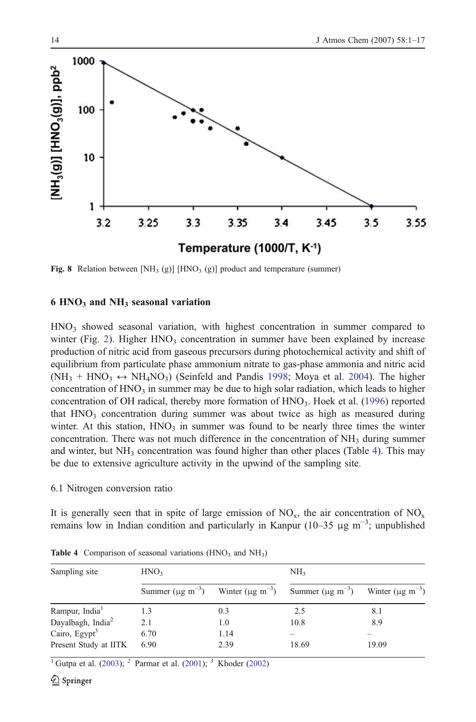<span id="page-13-0"></span>

Fig. 8 Relation between  $[NH_3(g)]$  [HNO<sub>3</sub> (g)] product and temperature (summer)

# $6 HNO<sub>3</sub>$  and NH<sub>3</sub> seasonal variation

 $HNO<sub>3</sub>$  showed seasonal variation, with highest concentration in summer compared to winter (Fig. [2\)](#page-5-0). Higher  $HNO<sub>3</sub>$  concentration in summer have been explained by increase production of nitric acid from gaseous precursors during photochemical activity and shift of equilibrium from particulate phase ammonium nitrate to gas-phase ammonia and nitric acid  $(NH_3 + HNO_3 \leftrightarrow NH_4NO_3)$  (Seinfeld and Pandis [1998](#page-16-0); Moya et al. [2004\)](#page-16-0). The higher concentration of  $HNO<sub>3</sub>$  in summer may be due to high solar radiation, which leads to higher concentration of OH radical, thereby more formation of  $HNO<sub>3</sub>$ . Hoek et al. ([1996\)](#page-15-0) reported that  $HNO<sub>3</sub>$  concentration during summer was about twice as high as measured during winter. At this station,  $HNO<sub>3</sub>$  in summer was found to be nearly three times the winter concentration. There was not much difference in the concentration of  $NH<sub>3</sub>$  during summer and winter, but  $NH<sub>3</sub>$  concentration was found higher than other places (Table 4). This may be due to extensive agriculture activity in the upwind of the sampling site.

#### 6.1 Nitrogen conversion ratio

It is generally seen that in spite of large emission of  $NO_x$ , the air concentration of  $NO_x$ remains low in Indian condition and particularly in Kanpur (10–35 μg m<sup>-3</sup>; unpublished

| Sampling site                 | HNO <sub>3</sub>                   |      | NH <sub>3</sub>                                                 |                                 |  |
|-------------------------------|------------------------------------|------|-----------------------------------------------------------------|---------------------------------|--|
|                               | Summer ( $\mu$ g m <sup>-3</sup> ) |      | Winter $(\mu g \text{ m}^{-3})$ Summer $(\mu g \text{ m}^{-3})$ | Winter $(\mu g \text{ m}^{-3})$ |  |
| Rampur, India <sup>1</sup>    | 1.3                                | 0.3  | 2.5                                                             | 8.1                             |  |
| Dayalbagh, India <sup>2</sup> | 2.1                                | 1.0  | 10.8                                                            | 8.9                             |  |
| Cairo, Egypt <sup>3</sup>     | 6.70                               | 1.14 |                                                                 |                                 |  |
| Present Study at IITK         | 6.90                               | 2.39 | 18.69                                                           | 19.09                           |  |

Table 4 Comparison of seasonal variations  $(HNO<sub>3</sub>$  and  $NH<sub>3</sub>)$ 

<sup>1</sup> Gutpa et al. [\(2003](#page-15-0)); <sup>2</sup> Parmar et al. ([2001\)](#page-16-0); <sup>3</sup> Khoder [\(2002\)](#page-15-0)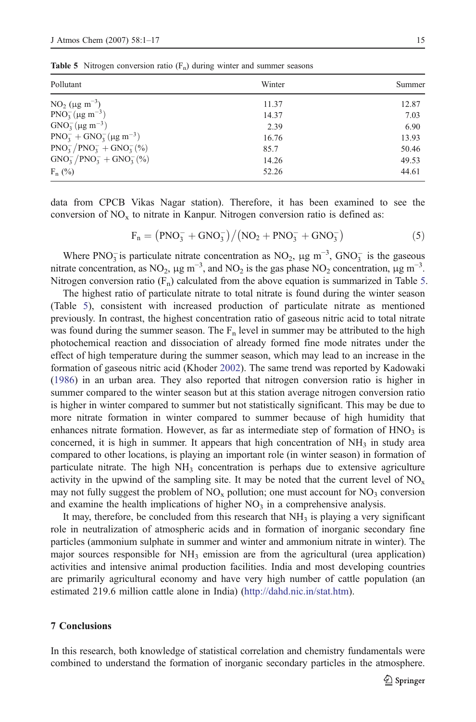**Table 5** Nitrogen conversion ratio  $(F_n)$  during winter and summer seasons

| Pollutant                         | Winter | Summer |
|-----------------------------------|--------|--------|
| $NO_2$ (µg m <sup>-3</sup> )      | 11.37  | 12.87  |
| $PNO2-(\mu g m-3)$                | 14.37  | 7.03   |
| $GNO3-(\mu g m-3)$                | 2.39   | 6.90   |
| $PNO3- + GNO3-(\mu g m-3)$        | 16.76  | 13.93  |
| $PNO_3^- / PNO_3^- + GNO_3^- (%)$ | 85.7   | 50.46  |
| $GNO_3^- / PNO_3^- + GNO_3^- (%)$ | 14.26  | 49.53  |
| $F_n$ (%)                         | 52.26  | 44.61  |

data from CPCB Vikas Nagar station). Therefore, it has been examined to see the conversion of  $NO<sub>x</sub>$  to nitrate in Kanpur. Nitrogen conversion ratio is defined as:

$$
F_n = (PNO_3^- + GNO_3^-) / (NO_2 + PNO_3^- + GNO_3^-)
$$
 (5)

Where PNO<sub>3</sub> is particulate nitrate concentration as NO<sub>2</sub>,  $\mu$ g m<sup>-3</sup>, GNO<sub>3</sub> is the gaseous nitrate concentration, as NO<sub>2</sub>,  $\mu$ g m<sup>-3</sup>, and NO<sub>2</sub> is the gas phase NO<sub>2</sub> concentration,  $\mu$ g m<sup>-3</sup>. Nitrogen conversion ratio  $(F_n)$  calculated from the above equation is summarized in Table 5.

The highest ratio of particulate nitrate to total nitrate is found during the winter season (Table 5), consistent with increased production of particulate nitrate as mentioned previously. In contrast, the highest concentration ratio of gaseous nitric acid to total nitrate was found during the summer season. The  $F_n$  level in summer may be attributed to the high photochemical reaction and dissociation of already formed fine mode nitrates under the effect of high temperature during the summer season, which may lead to an increase in the formation of gaseous nitric acid (Khoder [2002](#page-15-0)). The same trend was reported by Kadowaki ([1986\)](#page-15-0) in an urban area. They also reported that nitrogen conversion ratio is higher in summer compared to the winter season but at this station average nitrogen conversion ratio is higher in winter compared to summer but not statistically significant. This may be due to more nitrate formation in winter compared to summer because of high humidity that enhances nitrate formation. However, as far as intermediate step of formation of  $HNO<sub>3</sub>$  is concerned, it is high in summer. It appears that high concentration of  $NH<sub>3</sub>$  in study area compared to other locations, is playing an important role (in winter season) in formation of particulate nitrate. The high  $NH<sub>3</sub>$  concentration is perhaps due to extensive agriculture activity in the upwind of the sampling site. It may be noted that the current level of  $NO_x$ may not fully suggest the problem of  $NO<sub>x</sub>$  pollution; one must account for  $NO<sub>3</sub>$  conversion and examine the health implications of higher  $NO<sub>3</sub>$  in a comprehensive analysis.

It may, therefore, be concluded from this research that  $NH<sub>3</sub>$  is playing a very significant role in neutralization of atmospheric acids and in formation of inorganic secondary fine particles (ammonium sulphate in summer and winter and ammonium nitrate in winter). The major sources responsible for  $NH<sub>3</sub>$  emission are from the agricultural (urea application) activities and intensive animal production facilities. India and most developing countries are primarily agricultural economy and have very high number of cattle population (an estimated 219.6 million cattle alone in India) (<http://dahd.nic.in/stat.htm>).

#### 7 Conclusions

In this research, both knowledge of statistical correlation and chemistry fundamentals were combined to understand the formation of inorganic secondary particles in the atmosphere.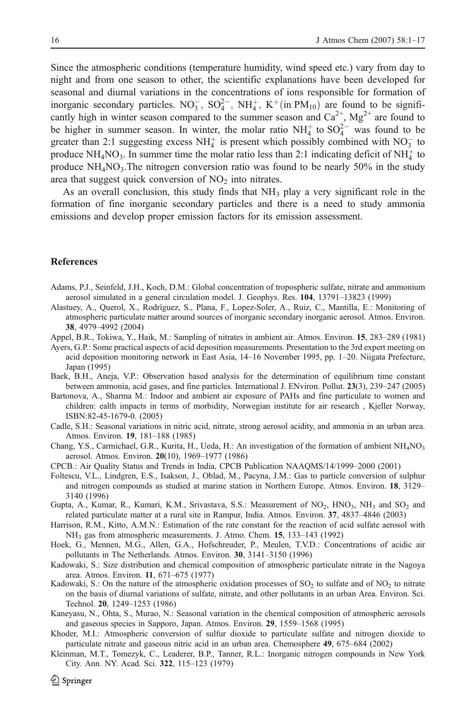<span id="page-15-0"></span>Since the atmospheric conditions (temperature humidity, wind speed etc.) vary from day to night and from one season to other, the scientific explanations have been developed for seasonal and diurnal variations in the concentrations of ions responsible for formation of inorganic secondary particles.  $NO_3^-$ ,  $SO_4^{2-}$ ,  $NH_4^+$ ,  $K^+$ (in PM<sub>10</sub>) are found to be significantly high in winter season compared to the summer season and  $Ca^{2+}$ ,  $Mg^{2+}$  are found to be higher in summer season. In winter, the molar ratio  $NH<sub>4</sub><sup>+</sup>$  to  $SO<sub>4</sub><sup>2-</sup>$  was found to be greater than 2:1 suggesting excess  $NH_4^+$  is present which possibly combined with  $NO_3^-$  to produce NH<sub>4</sub>NO<sub>3</sub>. In summer time the molar ratio less than 2:1 indicating deficit of NH<sub>4</sub><sup>+</sup> to produce  $NH<sub>4</sub>NO<sub>3</sub>$ . The nitrogen conversion ratio was found to be nearly 50% in the study area that suggest quick conversion of  $NO<sub>2</sub>$  into nitrates.

As an overall conclusion, this study finds that  $NH<sub>3</sub>$  play a very significant role in the formation of fine inorganic secondary particles and there is a need to study ammonia emissions and develop proper emission factors for its emission assessment.

# References

- Adams, P.J., Seinfeld, J.H., Koch, D.M.: Global concentration of tropospheric sulfate, nitrate and ammonium aerosol simulated in a general circulation model. J. Geophys. Res. 104, 13791–13823 (1999)
- Alastuey, A., Querol, X., Rodríguez, S., Plana, F., Lopez-Soler, A., Ruiz, C., Mantilla, E.: Monitoring of atmospheric particulate matter around sources of inorganic secondary inorganic aerosol. Atmos. Environ. 38, 4979–4992 (2004)
- Appel, B.R., Tokiwa, Y., Haik, M.: Sampling of nitrates in ambient air. Atmos. Environ. 15, 283–289 (1981)
- Ayers, G.P.: Some practical aspects of acid deposition measurements. Presentation to the 3rd expert meeting on acid deposition monitoring network in East Asia, 14–16 November 1995, pp. 1–20. Niigata Prefecture, Japan (1995)
- Baek, B.H., Aneja, V.P.: Observation based analysis for the determination of equilibrium time constant between ammonia, acid gases, and fine particles. International J. ENviron. Pollut. 23(3), 239–247 (2005)
- Bartonova, A., Sharma M.: Indoor and ambient air exposure of PAHs and fine particulate to women and children: ealth impacts in terms of morbidity, Norwegian institute for air research , Kjeller Norway, ISBN:82-45-1679-0. (2005)
- Cadle, S.H.: Seasonal variations in nitric acid, nitrate, strong aerosol acidity, and ammonia in an urban area. Atmos. Environ. 19, 181–188 (1985)
- Chang, Y.S., Carmichael, G.R., Kurita, H., Ueda, H.: An investigation of the formation of ambient  $NH_4NO_3$ aerosol. Atmos. Environ. 20(10), 1969–1977 (1986)
- CPCB.: Air Quality Status and Trends in India, CPCB Publication NAAQMS/14/1999–2000 (2001)
- Foltescu, V.L., Lindgren, E.S., Isakson, J., Oblad, M., Pacyna, J.M.: Gas to particle conversion of sulphur and nitrogen compounds as studied at marine station in Northern Europe. Atmos. Environ. 18, 3129– 3140 (1996)
- Gupta, A., Kumar, R., Kumari, K.M., Srivastava, S.S.: Measurement of NO<sub>2</sub>, HNO<sub>3</sub>, NH<sub>3</sub> and SO<sub>2</sub> and related particulate matter at a rural site in Rampur, India. Atmos. Environ. 37, 4837–4846 (2003)
- Harrison, R.M., Kitto, A.M.N.: Estimation of the rate constant for the reaction of acid sulfate aerosol with NH3 gas from atmospheric measurements. J. Atmo. Chem. 15, 133–143 (1992)
- Hoek, G., Mennen, M.G., Allen, G.A., Hofschreuder, P., Meulen, T.V.D.: Concentrations of acidic air pollutants in The Netherlands. Atmos. Environ. 30, 3141–3150 (1996)
- Kadowaki, S.: Size distribution and chemical composition of atmospheric particulate nitrate in the Nagoya area. Atmos. Environ. 11, 671–675 (1977)
- Kadowaki, S.: On the nature of the atmospheric oxidation processes of  $SO<sub>2</sub>$  to sulfate and of  $NO<sub>2</sub>$  to nitrate on the basis of diurnal variations of sulfate, nitrate, and other pollutants in an urban Area. Environ. Sci. Technol. 20, 1249–1253 (1986)
- Kaneyasu, N., Ohta, S., Murao, N.: Seasonal variation in the chemical composition of atmospheric aerosols and gaseous species in Sapporo, Japan. Atmos. Environ. 29, 1559–1568 (1995)
- Khoder, M.I.: Atmospheric conversion of sulfur dioxide to particulate sulfate and nitrogen dioxide to particulate nitrate and gaseous nitric acid in an urban area. Chemosphere 49, 675–684 (2002)
- Kleinman, M.T., Tomezyk, C., Leaderer, B.P., Tanner, R.L.: Inorganic nitrogen compounds in New York City. Ann. NY. Acad. Sci. 322, 115–123 (1979)

 $\mathcal{Q}$  Springer